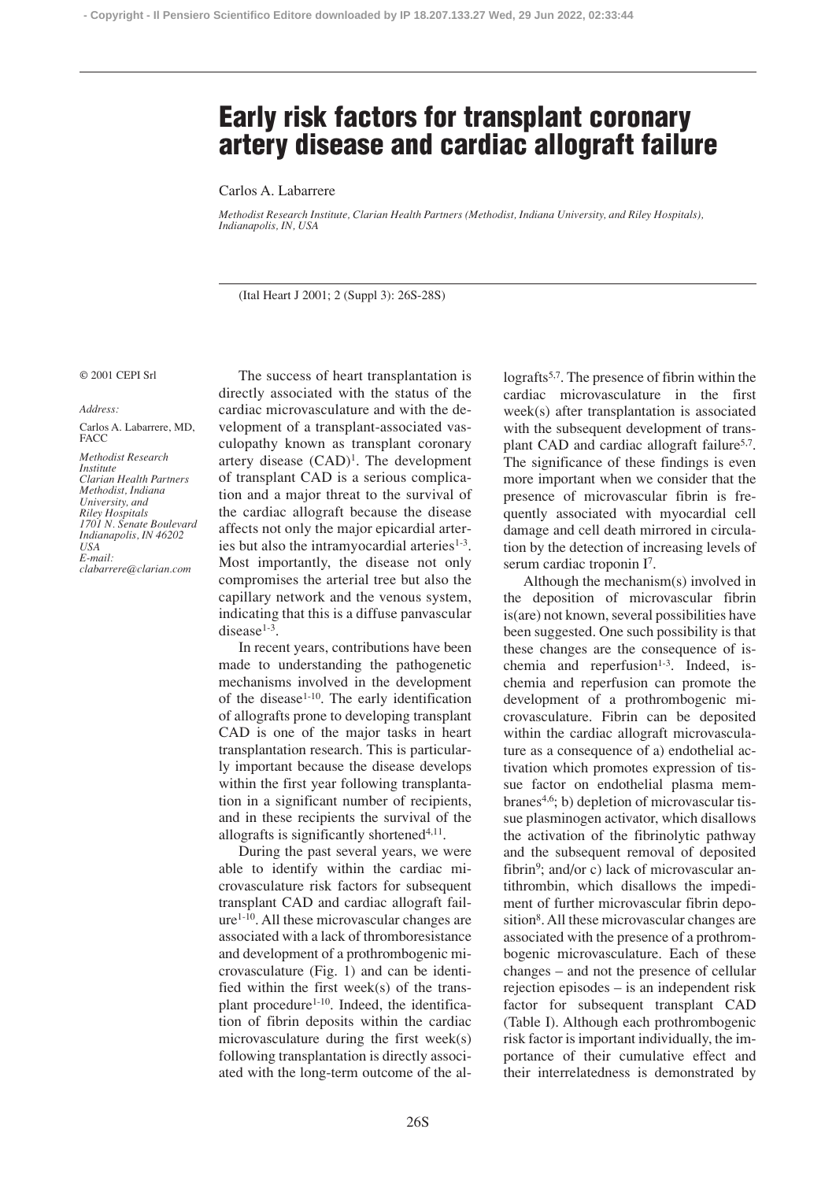## **Early risk factors for transplant coronary artery disease and cardiac allograft failure**

Carlos A. Labarrere

*Methodist Research Institute, Clarian Health Partners (Methodist, Indiana University, and Riley Hospitals), Indianapolis, IN, USA*

(Ital Heart J 2001; 2 (Suppl 3): 26S-28S)

## © 2001 CEPI Srl

## *Address:*

Carlos A. Labarrere, MD, **FACC** 

*Methodist Research Institute Clarian Health Partners Methodist, Indiana University, and Riley Hospitals 1701 N. Senate Boulevard Indianapolis, IN 46202 USA E-mail: clabarrere@clarian.com*

The success of heart transplantation is directly associated with the status of the cardiac microvasculature and with the development of a transplant-associated vasculopathy known as transplant coronary artery disease  $(CAD)^1$ . The development of transplant CAD is a serious complication and a major threat to the survival of the cardiac allograft because the disease affects not only the major epicardial arteries but also the intramyocardial arteries $1-3$ . Most importantly, the disease not only compromises the arterial tree but also the capillary network and the venous system, indicating that this is a diffuse panvascular disease $1-3$ .

In recent years, contributions have been made to understanding the pathogenetic mechanisms involved in the development of the disease<sup>1-10</sup>. The early identification of allografts prone to developing transplant CAD is one of the major tasks in heart transplantation research. This is particularly important because the disease develops within the first year following transplantation in a significant number of recipients, and in these recipients the survival of the allografts is significantly shortened<sup>4,11</sup>.

During the past several years, we were able to identify within the cardiac microvasculature risk factors for subsequent transplant CAD and cardiac allograft failure1-10. All these microvascular changes are associated with a lack of thromboresistance and development of a prothrombogenic microvasculature (Fig. 1) and can be identified within the first week(s) of the transplant procedure<sup>1-10</sup>. Indeed, the identification of fibrin deposits within the cardiac microvasculature during the first week(s) following transplantation is directly associated with the long-term outcome of the allografts<sup>5,7</sup>. The presence of fibrin within the cardiac microvasculature in the first week(s) after transplantation is associated with the subsequent development of transplant CAD and cardiac allograft failure<sup>5,7</sup>. The significance of these findings is even more important when we consider that the presence of microvascular fibrin is frequently associated with myocardial cell damage and cell death mirrored in circulation by the detection of increasing levels of serum cardiac troponin I7.

Although the mechanism(s) involved in the deposition of microvascular fibrin is(are) not known, several possibilities have been suggested. One such possibility is that these changes are the consequence of ischemia and reperfusion<sup>1-3</sup>. Indeed, ischemia and reperfusion can promote the development of a prothrombogenic microvasculature. Fibrin can be deposited within the cardiac allograft microvasculature as a consequence of a) endothelial activation which promotes expression of tissue factor on endothelial plasma membranes<sup>4,6</sup>; b) depletion of microvascular tissue plasminogen activator, which disallows the activation of the fibrinolytic pathway and the subsequent removal of deposited fibrin<sup>9</sup>; and/or c) lack of microvascular antithrombin, which disallows the impediment of further microvascular fibrin deposition<sup>8</sup>. All these microvascular changes are associated with the presence of a prothrombogenic microvasculature. Each of these changes – and not the presence of cellular rejection episodes – is an independent risk factor for subsequent transplant CAD (Table I). Although each prothrombogenic risk factor is important individually, the importance of their cumulative effect and their interrelatedness is demonstrated by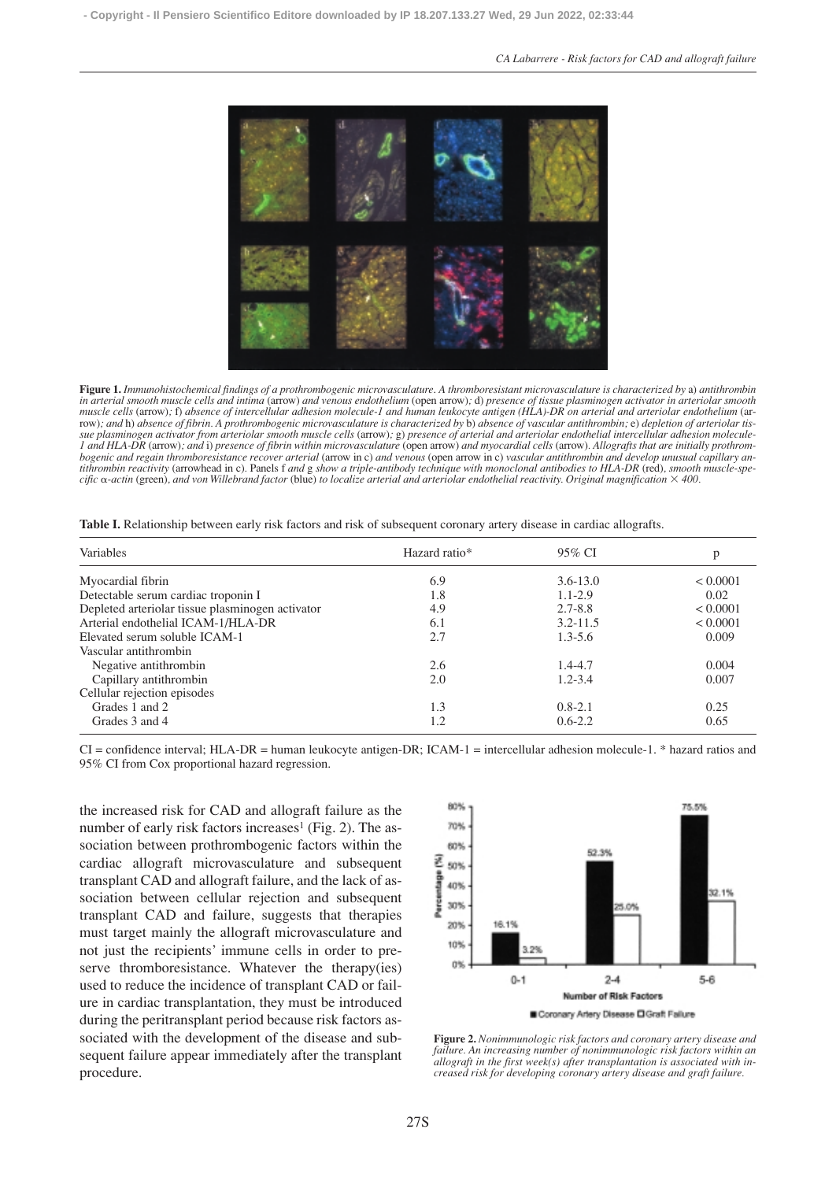

**Figure 1.** *Immunohistochemical findings of a prothrombogenic microvasculature*. *A thromboresistant microvasculature is characterized by* a) *antithrombin in arterial smooth muscle cells and intima* (arrow) *and venous endothelium* (open arrow)*;* d) *presence of tissue plasminogen activator in arteriolar smooth muscle cells* (arrow)*;* f) *absence of intercellular adhesion molecule-1 and human leukocyte antigen (HLA)-DR on arterial and arteriolar endothelium* (arrow)*; and* h) *absence of fibrin. A prothrombogenic microvasculature is characterized by* b) *absence of vascular antithrombin;* e) *depletion of arteriolar tis*sue plasminogen activator from arteriolar smooth muscle cells (arrow); g) presence of arterial and arteriolar endothelial intercellular adhesion molecule-*1 and HLA-DR* (arrow)*; and* i) *presence of fibrin within microvasculature* (open arrow) *and myocardial cells* (arrow)*. Allografts that are initially prothrombogenic and regain thromboresistance recover arterial* (arrow in c) *and venous* (open arrow in c) *vascular antithrombin and develop unusual capillary antithrombin reactivity* (arrowhead in c)*.* Panels f *and* g *show a triple-antibody technique with monoclonal antibodies to HLA-DR* (red)*, smooth muscle-specific* -*-actin* (green)*, and von Willebrand factor* (blue) *to localize arterial and arteriolar endothelial reactivity. Original magnification 400.*

| Variables                                        | Hazard ratio* | 95% CI       | p        |
|--------------------------------------------------|---------------|--------------|----------|
| Myocardial fibrin                                | 6.9           | $3.6 - 13.0$ | < 0.0001 |
| Detectable serum cardiac troponin I              | 1.8           | $1.1 - 2.9$  | 0.02     |
| Depleted arteriolar tissue plasminogen activator | 4.9           | $2.7 - 8.8$  | < 0.0001 |
| Arterial endothelial ICAM-1/HLA-DR               | 6.1           | $3.2 - 11.5$ | < 0.0001 |
| Elevated serum soluble ICAM-1                    | 2.7           | $1.3 - 5.6$  | 0.009    |
| Vascular antithrombin                            |               |              |          |
| Negative antithrombin                            | 2.6           | $1.4 - 4.7$  | 0.004    |
| Capillary antithrombin                           | 2.0           | $1.2 - 3.4$  | 0.007    |
| Cellular rejection episodes                      |               |              |          |
| Grades 1 and 2                                   | 1.3           | $0.8 - 2.1$  | 0.25     |
| Grades 3 and 4                                   | 1.2           | $0.6 - 2.2$  | 0.65     |

**Table I.** Relationship between early risk factors and risk of subsequent coronary artery disease in cardiac allografts.

CI = confidence interval; HLA-DR = human leukocyte antigen-DR; ICAM-1 = intercellular adhesion molecule-1. \* hazard ratios and 95% CI from Cox proportional hazard regression.

the increased risk for CAD and allograft failure as the number of early risk factors increases<sup>1</sup> (Fig. 2). The association between prothrombogenic factors within the cardiac allograft microvasculature and subsequent transplant CAD and allograft failure, and the lack of association between cellular rejection and subsequent transplant CAD and failure, suggests that therapies must target mainly the allograft microvasculature and not just the recipients' immune cells in order to preserve thromboresistance. Whatever the therapy(ies) used to reduce the incidence of transplant CAD or failure in cardiac transplantation, they must be introduced during the peritransplant period because risk factors associated with the development of the disease and subsequent failure appear immediately after the transplant procedure.



**Figure 2.** *Nonimmunologic risk factors and coronary artery disease and failure. An increasing number of nonimmunologic risk factors within an allograft in the first week(s) after transplantation is associated with increased risk for developing coronary artery disease and graft failure.*